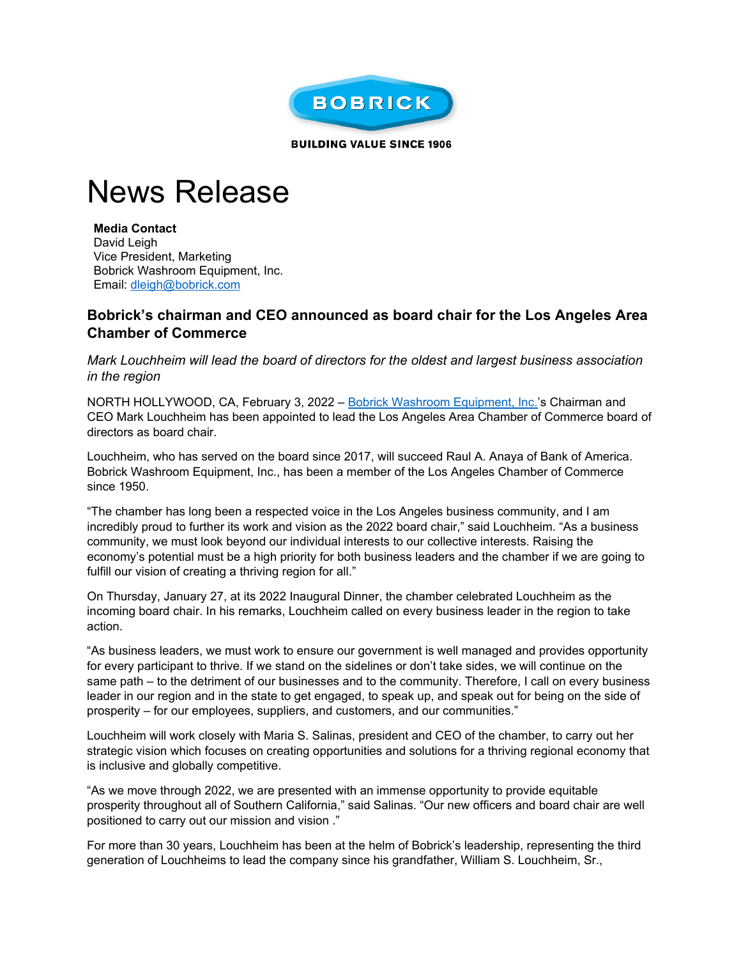

**BUILDING VALUE SINCE 1906** 

## News Release

**Media Contact** David Leigh Vice President, Marketing Bobrick Washroom Equipment, Inc. Email: [dleigh@bobrick.com](mailto:dleigh@bobrick.com)

## **Bobrick's chairman and CEO announced as board chair for the Los Angeles Area Chamber of Commerce**

*Mark Louchheim will lead the board of directors for the oldest and largest business association in the region*

NORTH HOLLYWOOD, CA, February 3, 2022 – [Bobrick Washroom Equipment, Inc.'s](https://www.bobrick.com/?utm_source=cision-email&utm_medium=news-release&utm_campaign=tp-sts-catalog-launch&utm_content=2020-public-relations) Chairman and CEO Mark Louchheim has been appointed to lead the Los Angeles Area Chamber of Commerce board of directors as board chair.

Louchheim, who has served on the board since 2017, will succeed Raul A. Anaya of Bank of America. Bobrick Washroom Equipment, Inc., has been a member of the Los Angeles Chamber of Commerce since 1950.

"The chamber has long been a respected voice in the Los Angeles business community, and I am incredibly proud to further its work and vision as the 2022 board chair," said Louchheim. "As a business community, we must look beyond our individual interests to our collective interests. Raising the economy's potential must be a high priority for both business leaders and the chamber if we are going to fulfill our vision of creating a thriving region for all."

On Thursday, January 27, at its 2022 Inaugural Dinner, the chamber celebrated Louchheim as the incoming board chair. In his remarks, Louchheim called on every business leader in the region to take action.

"As business leaders, we must work to ensure our government is well managed and provides opportunity for every participant to thrive. If we stand on the sidelines or don't take sides, we will continue on the same path – to the detriment of our businesses and to the community. Therefore, I call on every business leader in our region and in the state to get engaged, to speak up, and speak out for being on the side of prosperity – for our employees, suppliers, and customers, and our communities."

Louchheim will work closely with Maria S. Salinas, president and CEO of the chamber, to carry out her strategic vision which focuses on creating opportunities and solutions for a thriving regional economy that is inclusive and globally competitive.

"As we move through 2022, we are presented with an immense opportunity to provide equitable prosperity throughout all of Southern California," said Salinas. "Our new officers and board chair are well positioned to carry out our mission and vision ."

For more than 30 years, Louchheim has been at the helm of Bobrick's leadership, representing the third generation of Louchheims to lead the company since his grandfather, William S. Louchheim, Sr.,